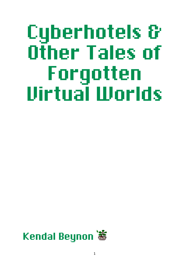# Cyberhotels & Other Tales of Forgotten Virtual Worlds

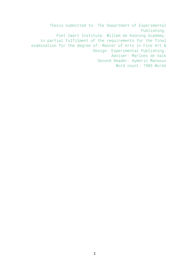Thesis submitted to: The Department of Experimental Publishing, Piet Zwart Institute, Willem de Kooning Academy, in partial fulfilment of the requirements for the final examination for the degree of: Master of Arts in Fine Art & Design: Experimental Publishing. Adviser: Marloes de Valk Second Reader: Aymeric Mansoux Word count: 7985 Words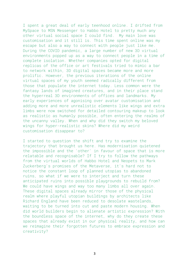I spent a great deal of early teenhood online. I drifted from MySpace to MSN Messenger to Habbo Hotel to pretty much any other virtual social space I could find. My main love was customisation and it still is. This time spent online was my escape but also a way to connect with people just like me. During the COVID pandemic, a large number of new 3D virtual environments popped up as a way to connect people in a time of complete isolation. Whether companies opted for digital replicas of the office or art festivals tried to mimic a bar to network within, 3D digital spaces became more and more prolific. However, the previous iterations of the online virtual spaces of my youth seemed radically different from those that populate the internet today. Less common were the fantasy lands of imagined creatures, and in their place stand the hyperreal 3D environments of offices and landmarks. My early experiences of agonising over avatar customisation and adding more and more unrealistic elements like wings and extra limbs were now switched for detailed contouring makeup to look as realistic as humanly possible, often entering the realms of the uncanny valley. When and why did they switch my beloved wings for hyper-realistic skins? Where did my weird customisation disappear to?

I started to question the shift and try to examine the trajectory that brought us here. Has modernisation quietened the impossible and the 'other' in favour of space that is more relatable and recognisable? If I try to follow the pathways from the virtual worlds of Habbo Hotel and Neopets to Mark Zuckerberg's promises of the Metaverse, it's hard not to notice the constant loop of planned utopias to abandoned ruins, so what if we were to interject and turn these anticipated ruins into possible playgrounds to rebuild from? We could have wings and way too many limbs all over again. These digital spaces already mirror those of the physical realm where playful utopian buildings by architects like Richard England have been reduced to desolate wastelands, waiting to be turned into cut and paste modern housing. When did world builders begin to alienate artistic expression? With the boundless space of the internet, why do they create these spaces that already exist in our physical reality, and how can we reimagine their forgotten futures to embrace expression and creativity?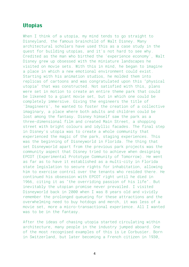## Utopias

When I think of a utopia, my mind tends to go straight to Disneyland, the famous brainchild of Walt Disney. Many architectural scholars have used this as a case study in the quest for building utopias, and it's not hard to see why. Credited as the man who birthed the 'experience economy', Walt Disney grew up obsessed with the miniature landscapes he visited on movie sets. With this in mind, he began to imagine a place in which a new emotional environment could exist. Starting with his animation studios, he molded them into replicas of cartoons and was congratulated upon this "physical utopia" that was constructed. Not satisfied with this, plans were set in motion to create an entire theme park that could be likened to a giant movie set, but in which one could be completely immersive. Giving the engineers the title of 'Imagineers', he wanted to foster the creation of a collective imaginary, a place where both adults and children could be lost among the fantasy. Disney himself saw the park as a three-dimensional film and created Main Street, a shopping street with bright colours and idyllic facades. The final step in Disney's utopia was to create a whole community that experienced the magic of the park, staging experiences. This was the beginning of Disneyworld in Florida. The thing that set Disneyworld apart from the previous park projects was the community aspect that Disney tried to achieve when designing EPCOT (Experimental Prototype Community of Tomorrow). He went as far as to have it established as a multi-city in Florida state legislation to secure rights for inhabitation, allowing him to exercise control over the tenants who resided there. He continued his obsession with EPCOT right until he died in 1966, citing it as "the overriding passion of his life". But inevitably the utopian promise never prevailed. I visited Disneyworld back in 2000 when I was 8 years old and vividly remember the prolonged queueing for these attractions and the overwhelming need to buy hotdogs and merch, it was less of a movie set, more a micro-transactional experience. All I wanted was to be in the fantasy.

After the ideas of chasing utopia started circulating within architecture, many people in the industry jumped aboard. One of the most recognised examples of this is Le Corbusier. Born in Switzerland, but later becoming a French citizen in 1930,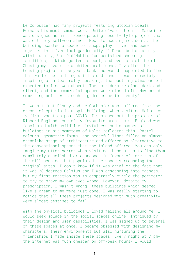Le Corbusier had many projects featuring utopian ideals. Perhaps his most famous work, Unité d'Habitation in Marseille was designed as an all-encompassing resort-style project that was entirely self-contained. Next to housing residents, the building boasted a space to 'shop, play, live, and come together in a "vertical garden city."' Described as a city within a city, Unité d'Habitation contained shopping facilities, a kindergarten, a pool, and even a small hotel. Chasing my favourite architectural icons, I visited the housing project a few years back and was disappointed to find that while the building still stood, and it was incredibly inspiring architecturally speaking, the bustling atmosphere I expected to find was absent. The corridors remained dark and silent, and the commercial spaces were closed off. How could something built with such big dreams be this empty?

It wasn't just Disney and Le Corbusier who suffered from the dreams of optimistic utopia building. When visiting Malta, as my first vacation post COVID, I searched out the projects of Richard England, one of my favourite architects. England was fascinated with childlike playfulness and a number of buildings in his hometown of Malta reflected this. Pastel colours, geometric forms, and peaceful lines filled an almost dreamlike stage of architecture and offered an alternative to the conventional spaces that the island offered. You can only imagine my utter horror when visiting these sites to find them completely demolished or abandoned in favour of more run-ofthe-mill housing that populated the space surrounding the original sites. I don't know if it was grief or the fact that it was 38 degrees Celsius and I was descending into madness, but my first reaction was to desperately circle the perimeter to try to prove my own eyes wrong. However, despite my prescription, I wasn't wrong, these buildings which seemed like a dream to me were just gone. I was really starting to notice that all these projects designed with such creativity were almost destined to fail.

With the physical buildings I loved failing all around me, I would seek solace in the social spaces online. Intrigued by their design and user capabilities, I was signed up to several of these spaces at once. I became obsessed with designing my characters, their environments but also nurturing the friendships I made inside these spaces. Every night at 7 pmthe internet was much cheaper on off-peak hours- I would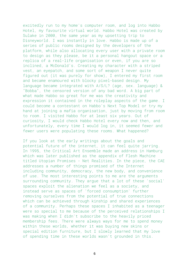excitedly run to my home's computer room, and log into Habbo Hotel, my favourite virtual world. Habbo Hotel was created by Sulake in 2000, the same year as my upsetting trip to Disneyworld. I was instantly in love. Habbo is made up of a series of public rooms designed by the developers of the platform, while also allocating every user with a private room to design as they please, be it a personal hangout space or a replica of a real-life organisation or even, if you are so inclined, a McDonald's. Creating my character with a striped vest, an eyepatch, and some sort of weapon I never quite figured out (it was purely for show), I entered my first room and became enamoured with blocky pixel-based design. My language became integrated with A/S/L? (age, sex. language) & "Bobba", the censored version of any bad word. A big part of what made Habbo so great for me was the creativity and expression it contained in the roleplay aspects of the game. I could become a contestant on Habbo's Next Top Model or try my hand at joining a mafia organisation, just by moving from room to room. I visited Habbo for at least six years. Out of curiosity, I would check Habbo Hotel every now and then, and unfortunately, every time I would log in, it seemed fewer and fewer users were populating these rooms. What happened?

If you look at the early writings about the goals and potential future of the internet, it can feel quite jarring. In 1995, the Critical Art Ensemble made an address in Hamburg which was later published as the appendix of Flesh Machine titled Utopian Promises - Net Realities. In the piece, the CAE addresses a number of things promised of the Internet including community, democracy, the new body, and convenience of use. The most interesting points to me are the arguments surrounding community. They argue that a lot of these 'social' spaces exploit the alienation we feel as a society, and instead serve as spaces of 'forced consumption' further removing ourselves from the potential of true connections which can be achieved through kinship and shared experiences of a community. Perhaps these spaces I inhabited as a teenager were so special to me because of the perceived relationships I was making when I didn't subscribe to the heavily priced membership fees. There were always ways for me to spend money within these worlds, whether it was buying new skins or special edition furniture, but I slowly learned that my love of spending time in these worlds wasn't grounded in this.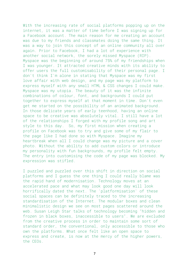With the increasing rate of social platforms popping up on the internet, it was a matter of time before I was signing up for a Facebook account. The main reason for me creating an account was due to my friends and classmates doing the same thing. It was a way to join this concept of an online community all over again. Prior to Facebook, I had a lot of experience with another social network, the sorely missed Myspace (RIP). Myspace was the beginning of around 75% of my friendships when I was younger. It attracted creative minds with its ability to offer users the full customisability of their personal page. I don't think I'm alone in stating that Myspace was my first love affair with web design, and my page was my platform to express myself with any small HTML & CSS changes I could make. Myspace was my utopia. The beauty of it was the infinite combinations of colour, font, and backgrounds I could put together to express myself at that moment in time. Don't even get me started on the possibility of an animated background. In those delicate years of early teenhood, having an online space to be creative was absolutely vital. I still have a lot of the relationships I forged with my profile song and art style to this day. So, my first mission when creating a profile on Facebook was to try and give some of my flair to the page like I had done so with Myspace. Imagine my heartbreak when all I could change was my picture and a cover photo. Without the ability to add custom colors or introduce my personality with fun backgrounds, my profile felt empty. The entry into customising the code of my page was blocked. My expression was stifled.

I puzzled and puzzled over this shift in direction on social platforms and I guess the one thing I could really blame was the rapid hand of modernisation. Technology moves at an accelerated pace and what may look good one day will look horrifically dated the next. The 'platformisation' of these social spaces can be definitely traced to the increasing standardisation of the Internet. The modular boxes and clean minimalistic design we see on most pages scattered around the web. Susan Leigh Star talks of technology becoming "hidden and frozen in black boxes, inaccessible to users". We are excluded from the creative process in order to maintain some sort of standard order, the conventional, only accessible to those who own the platforms. What once felt like an open space to express and create, is now at the mercy of the higher powers, the CEOs.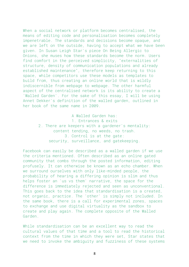When a social network or platform becomes centralised, the means of editing code and personalisation becomes completely impenetrable. The standards and decisions become opaque, and we are left on the outside, having to accept what we have been given. In Susan Leigh Star's piece On Being Allergic to Onions, she muses how these standards become the norm. Users find comfort in the perceived simplicity, "externalities of structure, density of communication populations and already established maintenance", therefore keep returning to this space, while competitors use these models as templates to build from, thus creating an online world that is wildly indiscernible from webpage to webpage. The other harmful aspect of the centralised network is its ability to create a 'Walled Garden'. For the sake of this essay, I will be using Annet Dekker's definition of the walled garden, outlined in her book of the same name in 2009.

> A Walled Garden has: 1. Entrances & exits 2. There are keepers with a gardener's mentality: content tending, no weeds, no trash. 3. Control is at the gate: security, surveillance, and gatekeeping.

Facebook can easily be described as a walled garden if we use the criteria mentioned. Often described as an online gated community that combs through the posted information, editing profusely. It can otherwise be known as an echo chamber. When we surround ourselves with only like-minded people, the probability of hearing a differing opinion is slim and thus helps foster an 'us vs them' narrative, the space for the difference is immediately rejected and seen as unconventional. This goes back to the idea that standardisation is a created, not organic, practice. The 'other' is simply not included. In the same book, there is a call for experimental zones, spaces to exchange and use digital virtuality as the sandbox to create and play again. The complete opposite of the Walled Garden.

While standardisation can be an excellent way to read the cultural values of that time and a tool to read the historical context from the time in which they were set, Star states that we need to invoke the ambiguity and fuzziness of these systems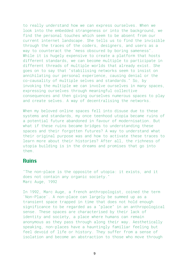to really understand how we can express ourselves. When we look into the embedded strangeness or into the background, we find the personal touches which seem to be absent from our current internet landscape. She tells us to find the invisible through the traces of the coders, designers, and users as a way to counteract the "mess obscured by boring sameness". While it is hugely expensive to create a platform that hosts different standards, we can become multiple to participate in different threads of multiple worlds that already exist. She goes on to say that "stabilising networks seem to insist on annihilating our personal experience, causing denial or the co-causality of multiple selves and standards." So, by invoking the multiple we can involve ourselves in many spaces, expressing ourselves through meaningful collective consequences and then giving ourselves numerous spaces to play and create selves. A way of decentralising the networks.

When my beloved online spaces fell into disuse due to these systems and standards, my once teenhood utopia became ruins of a potential future abandoned in favour of modernisation. But what if these ruins became bridges to understanding these spaces and their forgotten futures? A way to understand what their original purpose was and how to activate these traces to learn more about their histories? After all, the richness of utopia building is in the dreams and promises that go into them.

#### Ruins

"The non-place is the opposite of utopia: it exists, and it does not contain any organic society." Marc Auge, 1992

In 1992, Marc Auge, a french anthropologist, coined the term 'Non-Place'. A non-place can largely be summed up as a transient space trapped in time that does not hold enough significance to be regarded as a "place" in an anthropological sense. These spaces are characterised by their lack of identity and society, a place where humans can remain anonymous as they pass through along their way. Aesthetically speaking, non-places have a hauntingly familiar feeling but feel devoid of life or history. They suffer from a sense of isolation and become an abstraction to those who move through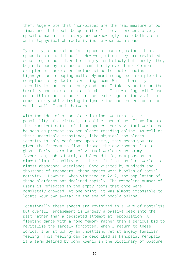them. Auge wrote that "non-places are the real measure of our time; one that could be quantified". They represent a very specific moment in history and unknowingly share both visual and metaphysical characteristics between each space.

Typically, a non-place is a space of passing rather than a space to stop and inhabit. However, often they are revisited, occurring in our lives fleetingly, and slowly but surely, they begin to occupy a space of familiarity over time. Common examples of non-places include airports, hotel chains, highways, and shopping malls. My most recognised example of a non-place is my doctor's waiting room. While there, my identity is checked at entry and once I take my seat upon the horribly uncomfortable plastic chair, I am waiting. All I can do in this space is hope for the next stage of the visit to come quickly while trying to ignore the poor selection of art on the wall. I am in between.

With the idea of a non-place in mind, we turn to the possibility of a virtual, or online, non-place. If we focus on the transient nature of these spaces, early virtual worlds can be seen as present-day non-places residing online. As well as their undeniable transience, like physical non-places, identity is only confirmed upon entry, this means you are given the freedom to float through the environment like a ghost. Early iterations of virtual worlds such as my favourites, Habbo Hotel, and Second Life, now possess an almost liminal quality with the shift from bustling worlds to almost abandoned wastelands. Once visited by hundreds and thousands of teenagers, these spaces were bubbles of social activity. However, when visiting in 2022, the population of these platforms has declined rapidly. The dwindling number of users is reflected in the empty rooms that once were completely crowded. At one point, it was almost impossible to locate your own avatar in the sea of people online.

Occasionally these spaces are revisited in a wave of nostalgia but overall, engagement is largely a passive peek into the past rather than a dedicated attempt at repopulation. A fleeting dance with a fond memory rather than a serious bid to revitalise the largely forgotten. When I return to these worlds, I am struck by an unsettling yet strangely familiar feeling. This feeling can be described as kenopsia. Kenopsia is a term defined by John Koenig in the Dictionary of Obscure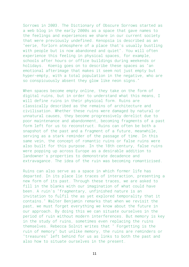Sorrows in 2003. The Dictionary of Obscure Sorrows started as a web blog in the early 2000s as a space that gave names to the feelings and experiences we share in our current society that were previously undefined. Kenopsia is described as an "eerie, forlorn atmosphere of a place that's usually bustling with people but is now abandoned and quiet". You will often experience this feeling in physical spaces, for example, schools after hours or office buildings during weekends or holidays. Koenig goes on to describe these spaces as "an emotional afterimage that makes it seem not just empty but hyper-empty, with a total population in the negative, who are so conspicuously absent they glow like neon signs."

When spaces become empty online, they take on the form of digital ruins, but in order to understand what this means, I will define ruins in their physical form. Ruins are classically described as the remains of architecture and civilisation. Whether these ruins were damaged by natural or unnatural causes, they become progressively derelict due to poor maintenance and abandonment, becoming fragments of a past form left for us to reconstruct. Ruins can often be both a snapshot of the past and a fragment of a future, meanwhile, serving as a stark reminder of the passage of time. In this same vein, the concept of romantic ruins or false ruins were also built for this purpose. In the 18th century, false ruins were popping up across Europe as a desirable addition to landowner's properties to demonstrate decadence and extravagance. The idea of the ruin was becoming romanticised.

Ruins can also serve as a space in which former life has departed. In its place lie traces of interaction, presenting a new form of its past. Through these traces, we are asked to fill in the blanks with our imagination of what could have been. A ruin's "fragmentary, unfinished nature is an invitation to fulfil the as yet explored temporality that it contains." Walter Benjamin remarks that when we revisit the past, we must forget everything we know about the future in our approach. By doing this we can situate ourselves in the period of ruin without modern interferences. But memory is key in the study of ruins, sometimes even replacing the ruins themselves. Rebecca Solnit writes that " Forgetting is the ruin of memory" but unlike memory, the ruins are reminders or "treasures" left behind for us as links to both the past and also how to situate ourselves in the present.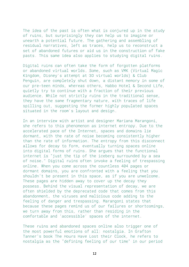The idea of the past is often what is conjured up in the study of ruins, but surprisingly they can help us to imagine or unearth a potential future. The gathering and assembling of residual narratives, left as traces, help us to reconstruct a set of abandoned futures or aid us in the construction of fake pasts. This same idea also applies to studying digital ruins.

Digital ruins can often take the form of forgotten platforms or abandoned virtual worlds. Some, such as VMK (Virtual Magic Kingdom, Disney's attempt at 3D virtual worlds) & Club Penguin, are completely shut down, a distant memory in some of our pre-teen minds, whereas others, Habbo Hotel & Second Life, quietly try to continue with a fraction of their previous audience. While not strictly ruins in the traditional sense, they have the same fragmentary nature, with traces of life spilling out, suggesting the former highly populated spaces situated in the room's layout and design.

In an interview with artist and designer Mariana Marangoni, she refers to this phenomenon as internet entropy. Due to the accelerated pace of the Internet, spaces and domains lie dormant, with the rate of noise becoming consistently higher than the rate of information. The entropy from this disconnect allows for decay to form, eventually turning spaces online into digital forms of ruins. She argues that the functional internet is "just the tip of the iceberg surrounded by a sea of noise." Digital ruins often invoke a feeling of trespassing online. When you come across the countless 404 pages or dormant domains, you are confronted with a feeling that you shouldn't be present in this space, as if you are unwelcome. These pages are hidden away to cover up the decay they possess. Behind the visual representation of decay, we are often shielded by the deprecated code that comes from this abandonment, the viruses and malicious code adding to the feeling of danger and trespassing. Marangoni states that because these pages remind us of our failures or shortcomings, we turn away from this, rather than residing in the comfortable and 'accessible' spaces of the internet.

These ruins and abandoned spaces online also trigger one of the most powerful emotions of all: nostalgia. In Grafton Tanner's book The Hours Have Lost their Clock, he refers to nostalgia as the "defining feeling of our time" in our period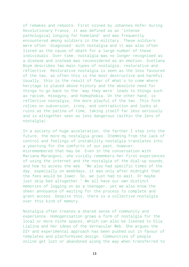of remakes and reboots. First coined by Johannes Hofer during Revolutionary France, it was defined as an "intense pathological longing for homeland" and was frequently encountered among soldiers in the military. These soldiers were often 'diagnosed' with nostalgia and it was also often listed as the cause of death for a large number of these individuals. Over time, nostalgia was no longer recognised as a disease and instead was reconsidered as an emotion. Svetlana Boym describes two main types of nostalgia; restorative and reflective. Restorative nostalgia is seen as the less favoured of the two, as often this is the most destructive and harmful. Usually, this is the result of fear of what's to come where heritage is placed above history and the absolute need for things to go back to the 'way they were' leads to things such as racism, misogyny, and homophobia. On the other hand, is reflective nostalgia, the more playful of the two. This form relies on subversion, irony, and contradiction and looks at ruins as the patina of time, taking itself far less seriously and is altogether seen as less dangerous (within the lens of nostalgia).

In a society of huge acceleration, the farther I step into the future, the more my nostalgia grows. Stemming from the lack of control and feelings of instability nostalgia translates into a yearning for the comforts of our past, however, misremembered that may be. Even in the conversation with Mariana Marangoni, she vividly remembers her first experiences of using the internet and the nostalgia of the dial-up sounds, and how to access the web. "We also had specific times of the day, especially on weekdays, it was only after midnight that the fees would be lower. So, we just had to wait. Or maybe just skip bed altogether." We all have our own distinct memories of logging on as a teenager, yet we also know the sheer annoyance of waiting for the process to complete and grant access. Despite this, there is a collective nostalgia over this kind of memory.

Nostalgia often creates a shared sense of community and experience. Homogenisation grows a form of nostalgia for the local or more niche spaces, which can also be likened to Olia Lialina and her ideas of the Vernacular Web. She argues the DIY and experimental approach has been pushed out in favour of templates and platformised design. Communities of people online get lost or abandoned along the way when transferred to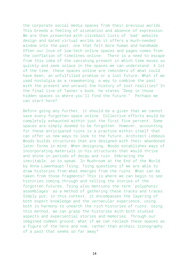the corporate social media spaces from their previous worlds. This breeds a feeling of alienation and absence of expression. We are then presented with clickbait lists of 'bad' website design and dated virtual worlds as it offers a much-needed window into the past, one that felt more human and handmade. Often our love of low-tech online spaces and pages comes from the conflation of timelines online. There is a need to escape from this idea of the vanishing present in which time moves so quickly and seek solace in the spaces we can understand. A lot of the time, these spaces online are reminders of what could have been, an unfulfilled promise or a lost future. What if we used nostalgia as a reawakening, a way to combine the past with the present and unravel the history of lost realities? In the final line of Tanner's book, he states "Deep in those hidden spaces is where you'll find the future." Perhaps we can start here?

Before going any further, it should be a given that we cannot save every forgotten space online. Collective efforts would be completely exhausted within just the first five percent. Some spaces are simply doomed to be forgotten. However, accounting for these anticipated ruins is a practice within itself that can offer us new ways to look to the future. Architect Lebbeus Woods builds structures that are designed with their abandoned later forms in mind. When designing, Woods establishes ways of incorporating materials in his structures that would thrive and shine in periods of decay and ruin. Embracing the inevitable, so to speak. In Mushroom at the End of the World by Anna Lowenhaupt-Tsing, Tsing questions if we are able to draw histories from what emerges from the ruins. What can be taken from those fragments? This is where we can begin to see histories coming through and telling the stories of the forgotten futures. Tsing also mentions the term 'polyphonic assemblages' as a method of gathering these tracks and traces. Simply put, in this context, it encompasses the layering of both expert knowledge and the vernacular experience, using both in harmony to unearth the rich histories of ruins. Using this method, we can grasp the histories with both studied aspects and experiential stories and memories. Through our imagined common ground, what if we can reclaim these spaces as a figure of the here and now, rather than archaic iconography of a past that seems so far away?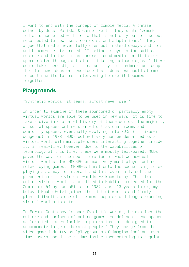I want to end with the concept of zombie media. A phrase coined by Jussi Parikka & Garnet Hertz, they state "zombie media is concerned with media that is not only out of use but resurrected to new uses, contexts, and adaptations.". They argue that media never fully dies but instead decays and rots and becomes reinterpreted. "It either stays in the soil as residue and in the air as concrete dead media, or it is reappropriated through artistic, tinkering methodologies." If we could take these digital ruins and try to reanimate and adapt them for new ideas or resurface lost ideas, we could attempt to continue its future, intervening before it becomes forgotten.

### **Playgrounds**

"Synthetic worlds, it seems, almost never die."

In order to examine if these abandoned or partially empty virtual worlds are able to be used in new ways, it is time to take a dive into a brief history of these worlds. The majority of social spaces online started out as chat rooms and community spaces, eventually evolving into MUDs (multi-user dungeons) in 1978. MUDs collectively can be described as a virtual world with multiple users interacting together inside it, in real-time, however, due to the capabilities of technology at this time, these were mostly text-based. MUDs paved the way for the next iteration of what we now call virtual worlds, the MMORPG or massively multiplayer online role-playing games. MMORPGs burst onto the scene using roleplaying as a way to interact and this eventually set the precedent for the virtual worlds we know today. The first online virtual world is credited to Habitat, released for the Commodore 64 by LucasFilms in 1987. Just 13 years later, my beloved Habbo Hotel joined the list of worlds and firmly planted itself as one of the most popular and longest-running virtual worlds to date.

In Edward Castronova's book Synthetic Worlds, he examines the culture and business of online games. He defines these spaces as "crafted places inside computers that are designed to accommodate large numbers of people." They emerge from the video game industry as 'playgrounds of imagination' and over time, users spend their time inside them catering to regular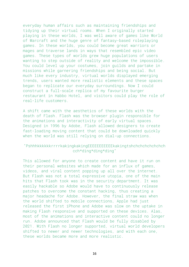everyday human affairs such as maintaining friendships and tidying up their virtual rooms. When I originally started playing in these worlds, I was well aware of games like World of Warcraft and the huge genre of fantasy-based roleplaying games. In these worlds, you could become great warriors or mages and traverse lands in ways that resembled epic video games. These types of worlds grew huge populations of users wanting to step outside of reality and welcome the impossible. You could level up your costumes, join guilds and partake in missions while garnering friendships and being social. But much like every industry, virtual worlds displayed emerging trends, users wanted more realistic elements and these spaces began to replicate our everyday surroundings. Now I could construct a full-scale replica of my favourite burger restaurant in Habbo Hotel, and visitors could play the role of real-life customers.

A shift came with the aesthetics of these worlds with the death of Flash. Flash was the browser plugin responsible for the animations and interactivity of early virtual spaces. Designed in 1996 by Adobe, Flash allowed designers to create fast-loading moving content that could be downloaded quickly when the world was still relying on dial-up connections.

#### "PshhhkkkkkkrrrrkakingkakingEEEEEEEEEEEkakingtshchchchchchchch cch\*ding\*ding\*ding"

This allowed for anyone to create content and have it run on their personal websites which made for an influx of games, videos, and viral content popping up all over the internet. But Flash was not a total expressive utopia, one of the main hits that Flash took was in the security department. It was easily hackable so Adobe would have to continuously release patches to overcome the constant hacking, thus creating a major headache for Adobe. However, the final straw was when the world shifted to mobile connections, Apple had just released the first iPhone and Adobe was slow on the uptake in making Flash responsive and supported on these devices. Alas, most of the animations and interactive content could no longer run. Adobe announced that Flash would be fully disabled by 2021. With Flash no longer supported, virtual world developers shifted to newer and newer technologies, and with each one, these worlds became more and more realistic.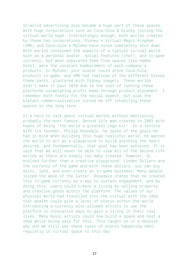In-world advertising also became a huge part of these spaces, with huge corporations such as Coca-Cola & Disney joining the virtual world hype. Interestingly enough, both worlds created by these two corporations, Disney's Virtual Magic Kingdom (VMK) and Coca-Cola's MyCoke have since completely shut down. Both worlds contained the aspects of a typical virtual world such as a personal avatar, social features (chat), and in-game currency, but what separated them from spaces like Habbo Hotel, were the constant bombardment of each company's products. In MyCoke, your avatar could drink Coca-Cola products in-game, and VMK had replicas of the different Disney theme parks, plastered with Disney imagery. These worlds didn't make it past 2010 due to the cost of running these platforms outweighing profit made through product placement. I remember both fondly for the social aspect, but alas the blatant commercialisation turned me off inhabiting these spaces in the long term.

It's hard to talk about virtual worlds without mentioning, probably the most famous. Second life was created in 2003 with hopes of being "the world's greatest Lego kit". In a lecture with its founder, Philip Rosedale, he spoke of the goals he had in mind when building this huge realistic world. He wanted the world to act as a playground to build anything the heart desired, and fundamentally, that goal has been achieved. It is said that we will never be able to view all of the Second Life worlds as there are simply too many created. However, SL evolved further than a creative playground. Linden Dollars are the currency of the game and with these dollars, you can buy skins, land, and even create an in-game business. Many people joined the wave of the latter. Rosedale states that he created this in-game currency as a way to sustain engagement, and by doing this, users could create a living by selling property and creative goods within the platform. The values of our physical world had travelled into the virtual with the idea that wealth could give a level of status within the world. Introducing a currency also allowed artists to use the platform in innovative ways to gain a living in their real lives. Many music artists could now build a space and host a show while being paid for this. This caught on in a massive way and we still see these types of events happening semiregularly in virtual space to this day.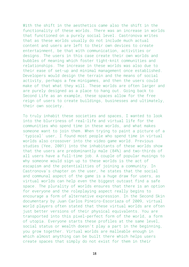With the shift in the aesthetics came also the shift in the functionality of these worlds. There was an increase in worlds that functioned on a purely social level. Castronova writes that as these worlds usually do not include much actual content and users are left to their own devices to create entertainment, be that with communication, activities or designs. The users in this case create their own worlds and bubbles of meaning which foster tight-knit communities and relationships. The increase in these worlds was also due to their ease of set-up and minimal management once established. Developers would design the terrain and the means of social activity, perhaps a few minigames, and then the users could make of that what they will. These worlds are often larger and are purely designed as a place to hang out. Going back to Second Life as an example, these spaces allow for the free reign of users to create buildings, businesses and ultimately, their own society.

To truly inhabit these societies and spaces, I wanted to look into the blurriness of real-life and virtual life for the communities who spend time in these worlds, and what makes someone want to join them. When trying to paint a picture of a 'typical' user, I found most people who spend time in virtual worlds also crossover into the video game world. Previous studies (Yee, 2001) into the inhabitants of these worlds show that the users are predominantly male (84%) and two-thirds of all users have a full-time job. A couple of popular musings to why someone would sign up to these worlds is the act of escapism and the potentialities of joining a community. In Castronova's chapter on the user, he states that the social and communal aspect of the game is a huge draw for users, as virtual worlds can help even the biggest outcast find a safe space. The plurality of worlds ensures that there is an option for everyone and the roleplaying aspect really begins to encourage a form of alternative expression. In the Second Skin documentary by Juan Carlos Pineiro-Escoriaza of 2009, virtual world players often stated that these virtual worlds are often just better versions of their physical equivalents. You are transported into this pixel-perfect form of the world, a form of utopia. Everyone starts these profiles at the same level, social status or wealth doesn't play a part in the beginning, you grow together. Virtual worlds are malleable enough in which almost anything can be built there which helps users create spaces that simply do not exist for them in their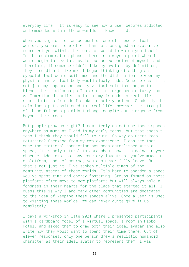everyday life. It is easy to see how a user becomes addicted and embedded within these worlds, I know I did.

When you sign up for an account on one of these virtual worlds, you are, more often than not, assigned an avatar to represent you within the rooms or world in which you inhabit. In the customisation phase, there is always a point when I would begin to see this avatar as an extension of myself and therefore, if someone didn't like my avatar, by definition, they also didn't like me. I began thinking of adding an eyepatch that would suit 'me' and the distinction between my physical and virtual body would slowly fade. Nonetheless, it's not just my appearance and my virtual self that began to blend, the relationships I started to forge became fuzzy too. As I mentioned earlier, a lot of my friends in real life started off as friends I spoke to solely online. Gradually the relationship transitioned to 'real life' however the strength of these friendships didn't change despite our emergence from beyond the screen.

But people grow up right? I admittedly do not use these spaces anywhere as much as I did in my early teens, but that doesn't mean I think they should fall to ruin. So why do users keep returning? Speaking from my own experience, I can see that once the emotional connection has been established with a space, it is only natural to care about how it's doing in your absence. Add into that any monetary investment you've made in a platform, and, of course, you can never fully leave. But that's not just it, I've spoken multiple times of the community aspect of these worlds. It's hard to abandon a space you've spent time and energy fostering. Groups formed on these platforms often move to new platforms but will always hold a fondness in their hearts for the place that started it all. I guess this is why I and many other communities are dedicated to the idea of keeping these spaces alive. Once a user is used to visiting these worlds, we can never quite give it up completely.

I gave a workshop in late 2021 where I presented participants with a cardboard model of a virtual space, a room in Habbo Hotel, and asked them to draw both their ideal avatar and also write how they would want to spend their time there. Out of eleven responses, only one person drew a realistic humanoid character as their ideal avatar to represent them. I was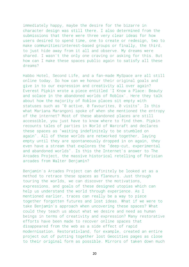immediately happy, maybe the desire for the bizarre in character design was still there. I also determined from the submissions that there were three very clear ideas for how users desired to spend time, one to create or redesign, two to make communities/interest-based groups or finally, the third, to just hide away from it all and observe. My dreams were shared. I wasn't the only one craving or asking for this. But how can I make these spaces public again to satisfy all these dreams?

Habbo Hotel, Second Life, and a fan-made MySpace are all still online today. So how can we honour their original goals and give in to our expression and creativity all over again? Everest Pipkin wrote a piece entitled 'I Know a Place: Beauty and solace in the abandoned worlds of Roblox'. Here they talk about how the majority of Roblox places sit empty with statuses such as "0 active, 0 favourites, 0 visits". Is this what Mariana Marangoni spoke of when she mentioned the entropy of the internet? Most of these abandoned places are still accessible, you just have to know where to find them. Pipkin recounts tales of parties in World of Warcraft and declares these spaces as "waiting indefinitely to be stumbled on again". All of these worlds are networked together, laying empty until they are spontaneously dropped in on again, they even have a stream that explores the "deep-cut, experimental and abandoned worlds". Is this the Internet's answer to The Arcades Project, the massive historical retelling of Parisian arcades from Walter Benjamin?

Benjamin's Arcades Project can definitely be looked at as a method to retrace these spaces as flaneurs. Just through touring the worlds, we can discover the motivations, expressions, and goals of these designed utopias which can help us understand the world through experience. As I mentioned earlier, traces can really be a way to piece together forgotten futures and lost ideas. What if we were to take Benjamin's approach when uncovering these spaces? What could they teach us about what we desire and need as human beings in terms of creativity and expression? Many restorative efforts have been made to recover online spaces that disappeared from the web as a side effect of rapid modernisation. Restorativland, for example, created an entire project out of putting together lost Geocities pages as close to their original form as possible. Mirrors of taken down much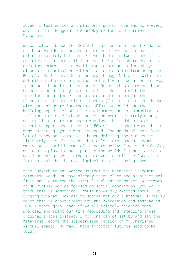loved virtual worlds and platforms pop up more and more every day from Club Penguin to SpaceHey (A fan-made version of Myspace).

We can also embrace the Net Art route and use the affordances of these worlds as canvasses to create. Net Art is hard to define absolutely but can be described as artwork based in or on Internet cultures, it is created from "an awareness of, or deep involvement, in a world transformed and affected by elaborate technical ensembles", an explanation from Josephine Bosma's 'Nettitudes. On a Journey through Net Art'. With this definition, I could argue that net art would be a perfect way to honour these forgotten spaces. Rather than allowing these spaces to become prey to capitalistic desires with the monetisation of these spaces as a leading cause of the abandonment of these virtual havens (I'm looking at you Habbo, with your plans to incorporate NFTs), we could use the building aspects of both the environment and a community to tell the stories of these spaces and what they truly meant, and still mean, to the users who love them. Habbo Hotel recently experienced a loss of 56% of its members when the ingame bartering system was disbanded. Thousands of users lost a lot of money and with this, began deleting their accounts. Ultimately this also means that a lot more spaces became empty. What could become of these rooms? As I've said roleplay and design played a huge part in the worlds I inhabited so to continue using these methods as a way to tell the forgotten futures could be the next logical step in reusing them.

Mark Zuckerberg has warned us that the Metaverse is coming. Metaverse weddings have already taken place and architectural firms have cornered the virtual real estate market. A network of 3D virtual worlds focused on social connection, you would think this is something I would be wildly excited about. But judging by what Zuck did to social network platforms, I really doubt this is about creativity and expression and instead is 100% a money grab. What if we all politely rejected this proposal and spent our time rebuilding and retelling these original spaces instead? I for one cannot sit by and let the Metaverse become the standardised version of my cherished virtual spaces. No way. These forgotten futures need to be told.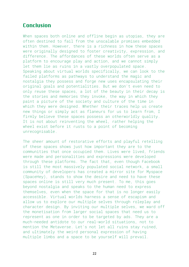# Conclusion

When spaces both online and offline begin as utopias, they are often destined to fail from the unscalable promises embedded within them. However, there is a richness in how these spaces were originally designed to foster creativity, expression, and difference. The affordances of these worlds often serve as a platform to encourage play and action, and we cannot simply let them lie as ruins in a vastly overpopulated space. Speaking about virtual worlds specifically, we can look to the failed platforms as pathways to understand the magic and nostalgia they possess and forge new uses encapsulating their original goals and potentialities. But we don't even need to only reuse these spaces, a lot of the beauty in their decay is the stories and memories they invoke, the way in which they paint a picture of the society and culture of the time in which they were designed. Whether their traces help us create new things or simply act as flaneurs for us to learn from, I firmly believe these spaces possess an otherworldly quality. It is not about reinventing the wheel, rather helping the wheel exist before it rusts to a point of becoming unrecognisable.

The sheer amount of restorative efforts and playful retelling of these spaces shows just how important they are to the communities that once occupied them. Lives were lived, friends were made and personalities and expressions were developed through these platforms. The fact that, even though Facebook is still the most massively populated social network, a small community of developers has created a mirror site for Myspace (SpaceHey), stands to show the desire and need to have these spaces online is still very much present. To me, this goes beyond nostalgia and speaks to the human need to express themselves, even when the space for that is no longer easily accessible. Virtual worlds harness a sense of escapism and allow us to explore our multiple selves through roleplay and character design. By inviting our multiple selves, we ward off the monetisation from larger social spaces that need us to represent as one in order to be targeted by ads. They are a much-needed antidote to our real-world situations, not to mention the Metaverse. Let's not let all ruins stay ruined, and ultimately the weird personal expression of having multiple limbs and a space to be yourself will prevail.